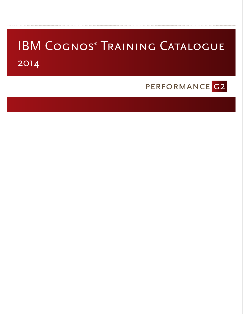# **IBM COGNOS® TRAINING CATALOGUE** 2014

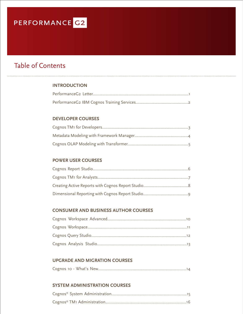# Table of Contents

#### **INTRODUCTION**

### **DEVELOPER COURSES**

#### **POWER USER COURSES**

#### **CONSUMER AND BUSINESS AUTHOR COURSES**

#### **UPGRADE AND MIGRATION COURSES**

|--|--|--|

#### **SYSTEM ADMINISTRATION COURSES**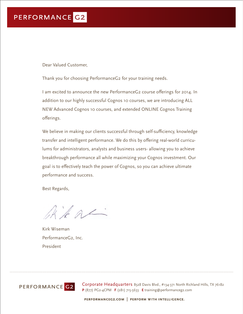Dear Valued Customer,

Thank you for choosing PerformanceG2 for your training needs.

I am excited to announce the new PerformanceG2 course offerings for 2014. In addition to our highly successful Cognos 10 courses, we are introducing ALL NEW Advanced Cognos 10 courses, and extended ONLINE Cognos Training offerings.

We believe in making our clients successful through self-sufficiency, knowledge transfer and intelligent performance. We do this by offering real-world curriculums for administrators, analysts and business users- allowing you to achieve breakthrough performance all while maximizing your Cognos investment. Our goal is to effectively teach the power of Cognos, so you can achieve ultimate performance and success.

Best Regards,

Akac

Kirk Wiseman PerformanceG2, Inc. President



Corporate Headquarters 8528 Davis Blvd., #134-371 North Richland Hills, TX 76182 **P** (877) PG2-4CPM **F** (281) 715-5633 **E** training@performanceg2.com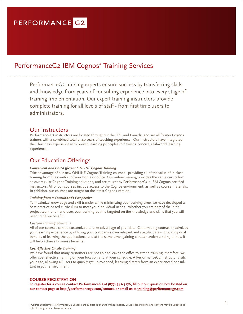## PerformanceG2 IBM Cognos® Training Services

PerformanceG2 training experts ensure success by transferring skills and knowledge from years of consulting experience into every stage of training implementation. Our expert training instructors provide complete training for all levels of staff - from first time users to administrators.

#### Our Instructors

PerformanceG2 instructors are located throughout the U.S. and Canada, and are all former Cognos trainers with a combined total of 40 years of teaching experience. Our instructors have integrated their business experience with proven learning principles to deliver a concise, real-world learning experience.

### Our Education Offerings

#### *Convenient and Cost-Efficient ONLINE Cognos Training*

Take advantage of our new ONLINE Cognos Training courses - providing all of the value of in-class training from the comfort of your home or office. Our online training provides the same curriculum as our regular Cognos Training solutions, and are taught by PerformanceG2's IBM Cognos certified instructors. All of our courses include access to the Cognos environment, as well as course materials. In addition, our courses are taught on the latest Cognos version.

#### *Training from a Consultant's Perspective*

To maximize knowledge and skill transfer while minimizing your training time, we have developed a best practice-based curriculum to meet your individual needs. Whether you are part of the initial project team or an end-user, your training path is targeted on the knowledge and skills that you will need to be successful.

#### *Custom Training Solutions*

All of our courses can be customized to take advantage of your data. Customizing courses maximizes your learning experience by utilizing your company's own relevant and specific data -- providing dual benefits of learning the applications, and at the same time, gaining a better understanding of how it will help achieve business benefits.

#### *Cost-Effective Onsite Training*

We have found that many customers are not able to leave the office to attend training, therefore, we offer cost-effective training on your location and at your schedule. A PerformanceG2 instructor visits your site, allowing all users to quickly get up-to-speed, learning directly from an experienced consultant in your environment.

#### **COURSE REGISTRATION**

**To register for a course contact PerformanceG2 at (877) 742-4276, fill out our question box located on our contact page at http://performanceg2.com/contact, or email us at training@performanceg2.com.**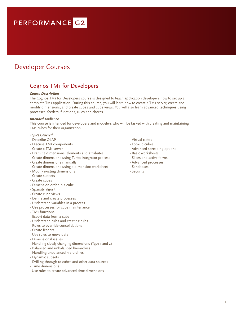## Developer Courses

### Cognos TM1 for Developers

#### *Course Description*

The Cognos TM1 for Developers course is designed to teach application developers how to set up a complete TM1 application. During this course, you will learn how to create a TM1 server, create and modify dimensions, and create cubes and cube views. You will also learn advanced techniques using processes, feeders, functions, rules and chores.

#### *Intended Audience*

This course is intended for developers and modelers who will be tasked with creating and maintaining TM1 cubes for their organization.

- Describe OLAP Virtual cubes
- Discuss TM1 components Lookup cubes
- 
- Examine dimensions, elements and attributes Basic worksheets<br>- Create dimensions using Turbo Integrator process Slices and active forms
- Create dimensions using Turbo Integrator process
- Create dimensions manually and the control of the Advanced processes
- Create dimensions using a dimension worksheet Sandboxes
- Modify existing dimensions and the Security of Security
- Create subsets
- Create cubes
- Dimension order in a cube
- Sparsity algorithm
- Create cube views
- Define and create processes
- Understand variables in a process
- Use processes for cube maintenance
- TM1 functions
- Export data from a cube
- Understand rules and creating rules
- Rules to override consolidations
- Create feeders
- Use rules to move data
- Dimensional issues
- Handling slowly changing dimensions (Type 1 and 2)
- Balanced and unbalanced hierarchies
- Handling unbalanced hierarchies
- Dynamic subsets
- Drilling-through to cubes and other data sources
- Time dimensions
- Use rules to create advanced time dimensions
- 
- 
- Create a TM1 server  $\overline{\phantom{a}}$ 
	-
	-
	-
	-
	-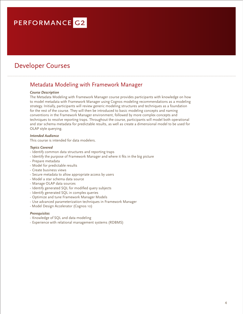## Developer Courses

### Metadata Modeling with Framework Manager

#### *Course Description*

The Metadata Modeling with Framework Manager course provides participants with knowledge on how to model metadata with Framework Manager using Cognos modeling recommendations as a modeling strategy. Initially, participants will review generic modeling structures and techniques as a foundation for the rest of the course. They will then be introduced to basic modeling concepts and naming conventions in the Framework Manager environment, followed by more complex concepts and techniques to resolve reporting traps. Throughout the course, participants will model both operational and star schema metadata for predictable results, as well as create a dimensional model to be used for OLAP style querying.

#### *Intended Audience*

This course is intended for data modelers.

#### *Topics Covered*

- Identify common data structures and reporting traps
- Identify the purpose of Framework Manager and where it fits in the big picture
- Prepare metadata
- Model for predictable results
- Create business views
- Secure metadata to allow appropriate access by users
- Model a star schema data source
- Manage OLAP data sources
- Identify generated SQL for modified query subjects
- Identify generated SQL in complex queries
- Optimize and tune Framework Manager Models
- Use advanced parameterization techniques in Framework Manager
- Model Design Accelerator (Cognos 10)

- Knowledge of SQL and data modeling
- Experience with relational management systems (RDBMS)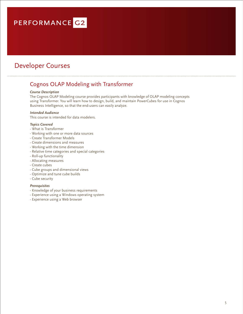## Developer Courses

### Cognos OLAP Modeling with Transformer

#### *Course Description*

The Cognos OLAP Modeling course provides participants with knowledge of OLAP modeling concepts using Transformer. You will learn how to design, build, and maintain PowerCubes for use in Cognos Business Intelligence, so that the end-users can easily analyze.

#### *Intended Audience*

This course is intended for data modelers.

#### *Topics Covered*

- What is Transformer
- Working with one or more data sources
- Create Transformer Models
- Create dimensions and measures
- Working with the time dimension
- Relative time categories and special categories
- Roll-up functionality
- Allocating measures
- Create cubes
- Cube groups and dimensional views
- Optimize and tune cube builds
- Cube security

- Knowledge of your business requirements
- Experience using a Windows operating system
- Experience using a Web browser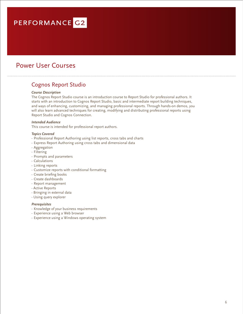## Power User Courses

### Cognos Report Studio

#### *Course Description*

The Cognos Report Studio course is an introduction course to Report Studio for professional authors. It starts with an introduction to Cognos Report Studio, basic and intermediate report building techniques, and ways of enhancing, customizing, and managing professional reports. Through hands-on demos, you will also learn advanced techniques for creating, modifying and distributing professional reports using Report Studio and Cognos Connection.

#### *Intended Audience*

This course is intended for professional report authors.

#### *Topics Covered*

- Professional Report Authoring using list reports, cross tabs and charts
- Express Report Authoring using cross tabs and dimensional data
- Aggregation
- Filtering
- Prompts and parameters
- Calculations
- Linking reports
- Customize reports with conditional formatting
- Create briefing books
- Create dashboards
- Report management
- Active Reports
- Bringing in external data
- Using query explorer

- Knowledge of your business requirements
- Experience using a Web browser
- Experience using a Windows operating system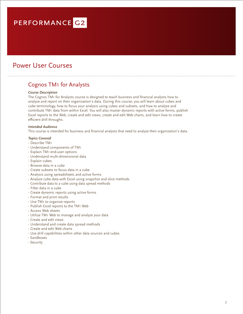## Power User Courses

### Cognos TM1 for Analysts

#### *Course Description*

The Cognos TM1 for Analysts course is designed to teach business and financial analysts how to analyze and report on their organization's data. During this course, you will learn about cubes and cube terminology, how to focus your analysis using cubes and subsets, and how to analyze and contribute TM1 data from within Excel. You will also master dynamic reports with active forms, publish Excel reports to the Web, create and edit views, create and edit Web charts, and learn how to create efficient drill throughs.

#### *Intended Audience*

This course is intended for business and financial analysts that need to analyze their organization's data.

- Describe TM1
- Understand components of TM1
- Explain TM1 end-user options
- Understand multi-dimensional data
- Explain cubes
- Browse data in a cube
- Create subsets to focus data in a cube
- Analysis using spreadsheets and active forms
- Analyze cube data with Excel using snapshot and slice methods
- Contribute data to a cube using data spread methods
- Filter data in a cube
- Create dynamic reports using active forms
- Format and print results
- Use TM1 to organize reports
- Publish Excel reports to the TM1 Web
- Access Web sheets
- Utilize TM1 Web to manage and analyze your data
- Create and edit views
- Understand and create data spread methods
- Create and edit Web charts
- Use drill capabilities within other data sources and cubes
- Sandboxes
- Security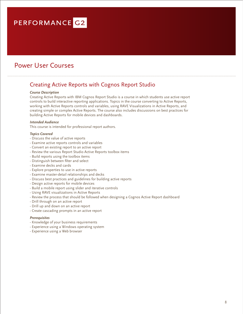## Power User Courses

### Creating Active Reports with Cognos Report Studio

#### *Course Description*

Creating Active Reports with IBM Cognos Report Studio is a course in which students use active report controls to build interactive reporting applications. Topics in the course converting to Active Reports, working with Active Reports controls and variables, using RAVE Visualizations in Active Reports, and creating simple or complex Active Reports. The course also includes discussions on best practices for building Active Reports for mobile devices and dashboards.

#### *Intended Audience*

This course is intended for professional report authors.

#### *Topics Covered*

- Discuss the value of active reports
- Examine active reports controls and variables
- Convert an existing report to an active report
- Review the various Report Studio Active Reports toolbox items
- Build reports using the toolbox items
- Distinguish between filter and select
- Examine decks and cards
- Explore properties to use in active reports
- Examine master-detail relationships and decks
- Discuss best practices and guidelines for building active reports
- Design active reports for mobile devices
- Build a mobile report using slider and iterative controls
- Using RAVE visualizations in Active Reports
- Review the process that should be followed when designing a Cognos Active Report dashboard
- Drill through on an active report
- Drill up and down on an active report
- Create cascading prompts in an active report

- Knowledge of your business requirements
- Experience using a Windows operating system
- Experience using a Web browser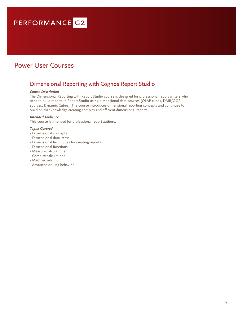

## Power User Courses

## Dimensional Reporting with Cognos Report Studio

#### *Course Description*

The Dimensional Reporting with Report Studio course is designed for professional report writers who need to build reports in Report Studio using dimensional data sources (OLAP cubes, DMR/OOR sources, Dynamic Cubes). The course introduces dimensional reporting concepts and continues to build on that knowledge creating complex and efficient dimensional reports.

#### *Intended Audience*

This course is intended for professional report authors.

- Dimensional concepts
- Dimensional data items
- Dimensional techniques for creating reports
- Dimensional functions
- Measure calculations
- Complex calculations
- Member sets
- Advanced drilling behavior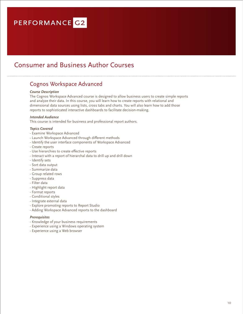## Consumer and Business Author Courses

### Cognos Workspace Advanced

#### *Course Description*

The Cognos Workspace Advanced course is designed to allow business users to create simple reports and analyze their data. In this course, you will learn how to create reports with relational and dimensional data sources using lists, cross tabs and charts. You will also learn how to add those reports to sophisticated interactive dashboards to facilitate decision-making.

#### *Intended Audience*

This course is intended for business and professional report authors.

#### *Topics Covered*

- Examine Workspace Advanced
- Launch Workspace Advanced through different methods
- Identify the user interface components of Workspace Advanced
- Create reports
- Use hierarchies to create effective reports
- Interact with a report of hierarchal data to drill up and drill down
- Identify sets
- Sort data output
- Summarize data
- Group related rows
- Suppress data
- Filter data
- Highlight report data
- Format reports
- Conditional styles
- Integrate external data
- Explore promoting reports to Report Studio
- Adding Workspace Advanced reports to the dashboard

- Knowledge of your business requirements
- Experience using a Windows operating system
- Experience using a Web browser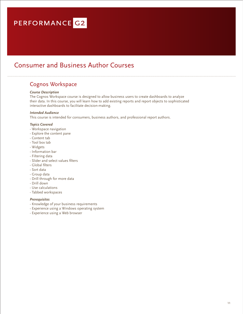## Consumer and Business Author Courses

### Cognos Workspace

#### *Course Description*

The Cognos Workspace course is designed to allow business users to create dashboards to analyze their data. In this course, you will learn how to add existing reports and report objects to sophisticated interactive dashboards to facilitate decision-making.

#### *Intended Audience*

This course is intended for consumers, business authors, and professional report authors.

#### *Topics Covered*

- Workspace navigation
- Explore the content pane
- Content tab
- Tool box tab
- Widgets
- Information bar
- Filtering data
- Slider and select values filters
- Global filters
- Sort data
- Group data
- Drill through for more data
- Drill down
- Use calculations
- Tabbed workspaces

- Knowledge of your business requirements
- Experience using a Windows operating system
- Experience using a Web browser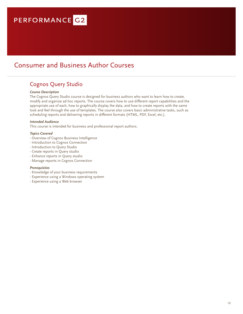## Consumer and Business Author Courses

### Cognos Query Studio

#### *Course Description*

The Cognos Query Studio course is designed for business authors who want to learn how to create, modify and organize ad hoc reports. The course covers how to use different report capabilities and the appropriate use of each, how to graphically display the data, and how to create reports with the same look and feel through the use of templates. The course also covers basic administrative tasks, such as scheduling reports and delivering reports in different formats (HTML, PDF, Excel, etc.).

#### *Intended Audience*

This course is intended for business and professional report authors.

#### *Topics Covered*

- Overview of Cognos Business Intelligence
- Introduction to Cognos Connection
- Introduction to Query Studio
- Create reports in Query studio
- Enhance reports in Query studio
- Manage reports in Cognos Connection

- Knowledge of your business requirements
- Experience using a Windows operating system
- Experience using a Web browser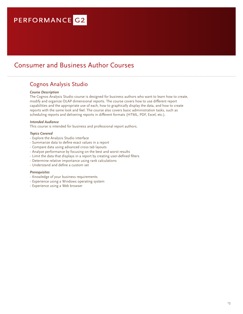## Consumer and Business Author Courses

### Cognos Analysis Studio

#### *Course Description*

The Cognos Analysis Studio course is designed for business authors who want to learn how to create, modify and organize OLAP dimensional reports. The course covers how to use different report capabilities and the appropriate use of each, how to graphically display the data, and how to create reports with the same look and feel. The course also covers basic administration tasks, such as scheduling reports and delivering reports in different formats (HTML, PDF, Excel, etc.).

#### *Intended Audience*

This course is intended for business and professional report authors.

#### *Topics Covered*

- Explore the Analysis Studio interface
- Summarize data to define exact values in a report
- Compare data using advanced cross tab layouts
- Analyze performance by focusing on the best and worst results
- Limit the data that displays in a report by creating user-defined filters
- Determine relative importance using rank calculations
- Understand and define a custom set

- Knowledge of your business requirements
- Experience using a Windows operating system
- Experience using a Web browser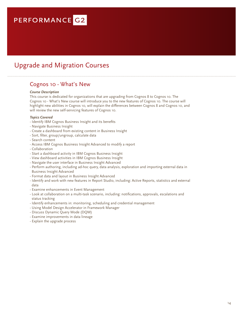## Upgrade and Migration Courses

### Cognos 10 - What's New

#### *Course Description*

This course is dedicated for organizations that are upgrading from Cognos 8 to Cognos 10. The Cognos 10 - What's New course will introduce you to the new features of Cognos 10. The course will highlight new abilities in Cognos 10, will explain the differences between Cognos 8 and Cognos 10, and will review the new self-servicing features of Cognos 10.

- Identify IBM Cognos Business Insight and its benefits
- Navigate Business Insight
- Create a dashboard from existing content in Business Insight
- Sort, filter, group/ungroup, calculate data
- Search content
- Access IBM Cognos Business Insight Advanced to modify a report
- Collaboration
- Start a dashboard activity in IBM Cognos Business Insight
- View dashboard activities in IBM Cognos Business Insight
- Navigate the user interface in Business Insight Advanced
- Perform authoring, including ad-hoc query, data analysis, exploration and importing external data in Business Insight Advanced
- Format data and layout in Business Insight Advanced
- Identify and work with new features in Report Studio, including: Active Reports, statistics and external data
- Examine enhancements in Event Management
- Look at collaboration on a multi-task scenario, including: notifications, approvals, escalations and status tracking
- Identify enhancements in: monitoring, scheduling and credential management
- Using Model Design Accelerator in Framework Manager
- Discuss Dynamic Query Mode (DQM)
- Examine improvements in data lineage
- Explain the upgrade process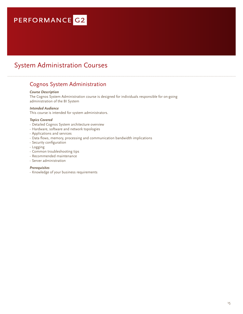## System Administration Courses

### Cognos System Administration

#### *Course Description*

The Cognos System Administration course is designed for individuals responsible for on-going administration of the BI System

#### *Intended Audience*

This course is intended for system administrators.

#### *Topics Covered*

- Detailed Cognos System architecture overview
- Hardware, software and network topologies
- Applications and services
- Data flows, memory, processing and communication bandwidth implications
- Security configuration
- Logging
- Common troubleshooting tips
- Recommended maintenance
- Server administration

#### *Prerequisites*

- Knowledge of your business requirements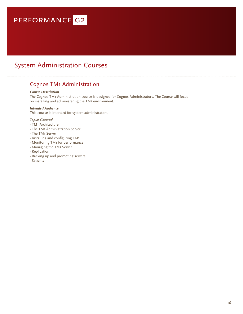## System Administration Courses

### Cognos TM1 Administration

#### *Course Description*

The Cognos TM1 Administration course is designed for Cognos Administrators. The Course will focus on installing and administering the TM1 environment.

#### *Intended Audience*

This course is intended for system administrators.

- TM1 Architecture
- The TM1 Administration Server
- The TM1 Server
- Installing and configuring TM1
- Monitoring TM1 for performance
- Managing the TM1 Server
- Replication
- Backing up and promoting servers
- Security